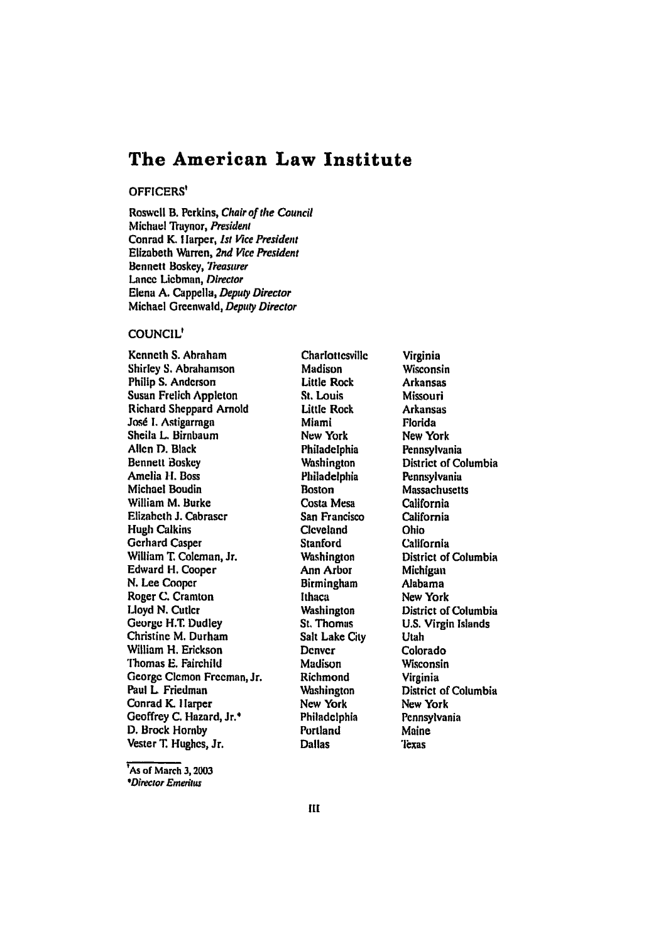# **The American Law Institute**

## OFFICERS'

Roswcll B. Perkins, Chair of the *Council* Michael Traynor, President Conrad K. **I** larper, *lst Vice President* Elizabeth Warren, 2nd Vice President **Bennett Boskey**, **Treasurer** Lance Liebman, Director Elena **A.** Cappella, *Deputy Director* Michael Greenwald, Deputy Director

## **COUNCIL**

Kenneth **S.** Abraham Shirley **S.** Abrahamson Philip **S.** Anderson Susan Frelich Appleton Richard Sheppard Arnold José I. Astigarraga Sheila L. Birnbaum Allen **D.** Black Bennett Boskey Amelia **H.** Boss Michael Boudin William M. Burke Elizabeth **J.** Cabraser Hugh Calkins Gerhard Casper William **T.** Coleman, Jr. Edward H. Cooper **N.** Lee Cooper Roger **C.** Cramton Lloyd **N.** Cutler George **H.T.** Dudley Christine M. Durham William **H.** Erickson Tlhomas **E.** Fairchild George Clcmon Freeman, Jr. Paul L Friedman Conrad **K.** I larper Geoffrey **C.** Hazard, Jr.\* **D.** Brock Hornby Vester **T.** Hughes, Jr.

**Charlottesville** Madison Little Rock St. Louis Little Rock Miami New York Philadelphia Washington Philadelphia Boston Costa Mesa San Francisco **Cleveland** Stanford **Washington** Ann Arbor Birmingham Ithaca Washington St. Thomas Salt Lake City **Denver** Madison Richmond Washington New York Philadelphia Portland Dallas

Virginia Wisconsin Arkansas Missouri Arkansas Florida New York Pennsylvania District **of** Columbia Pennsylvania Massachusetts California California Ohio California District of Columbia Michigan Alabama New York District of Columbia **U.S.** Virgin Islands Utah Colorado Wisconsin Virginia District of Columbia New York Pennsylvania Maine 'lexas

**As of** March **3,2003** *\*Director Emeritus*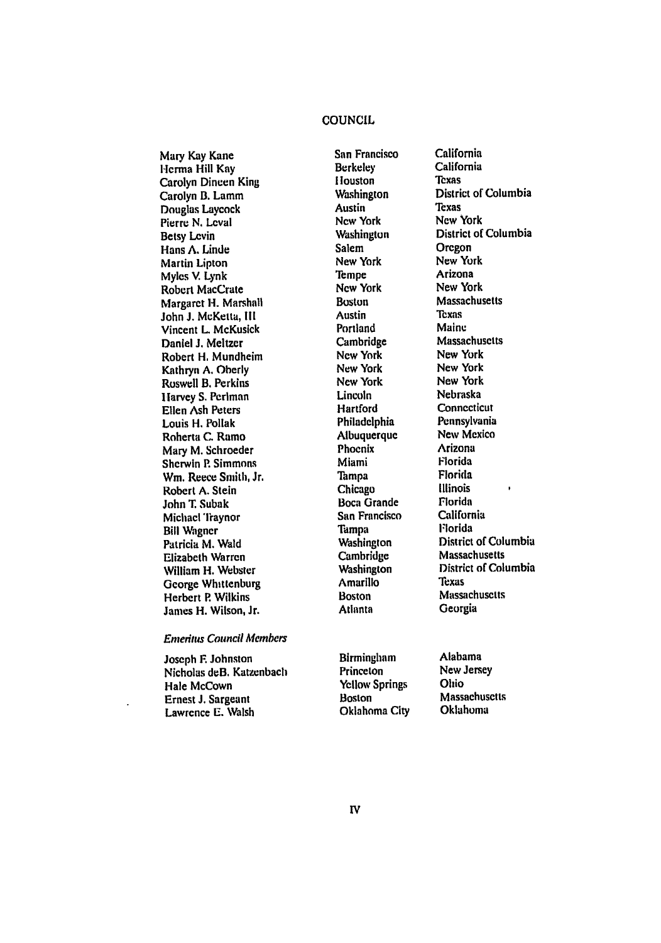## **COUNCIL**

Mary Kay Kane **Herma** Hill **Kay** Carolyn Dineen King Carolyn **B.** Lamm Douglas Laycock Pierre N. Leval Betsy Levin Hans **A.** Linde Martin Lipton Myles V. Lynk Robert MacCrate Margaret **H.** Marshall John **J.** McKetta, **Ill** Vincent L. McKusick Daniel **J.** Meltzer Robert **H,** Mundheim Kathryn **A.** Oberly Roswell B. Perkins **I** larvey S. Perlman Ellen Ash Peters Louis H. Pollak Roberta **C.** Ramo Mary M. Schroeder Sherwin P. Simmons **Wm.** Reece Smith, Jr. Robert **A.** Stein John **T.** Subak Michael Traynor Bill **Wagner** Patricia **M.** Wald Elizabeth Warren William H. Webster George Whittenburg Herbert **P.** Wilkins James H. Wilson, Jr.

## Enteriius Council **Aembers**

Joseph F. Johnston Nicholas deB. Katzenbach Hale McCown Ernest **J.** Sargeant Lawrence **E. Walsh**

**San** Francisco Berkeley **I** touston Washington Austin New York Washington Salem New York Tempe New York Boston Austin Portland Cambridge New York New York New York Lincoln Hartford Philadelphia Albuquerque Phoenix Miami **Tampa** Chicago Boca Grande San Francisco Tampa Washington Cambridge Washington Amarillo Boston Atlanta

California Texas District **of** Columbia Texas **New** York District of Columbia Oregon New York Arizona New York Massachusetts **Texns** Maine Massachusetts New York New York New York Nebraska **Connecticut** Pennsylvania New Mexico Arizona Florida Florida Illinois Florida California Florida District of Columbia Massachusetts District **of** Columbia Texas **Massachusetts** Georgia

California

Birmingham Princeton Yellow Springs Boston Oklahoma City Alabama New Jersey Ohio **Massachusetts** Oklahoma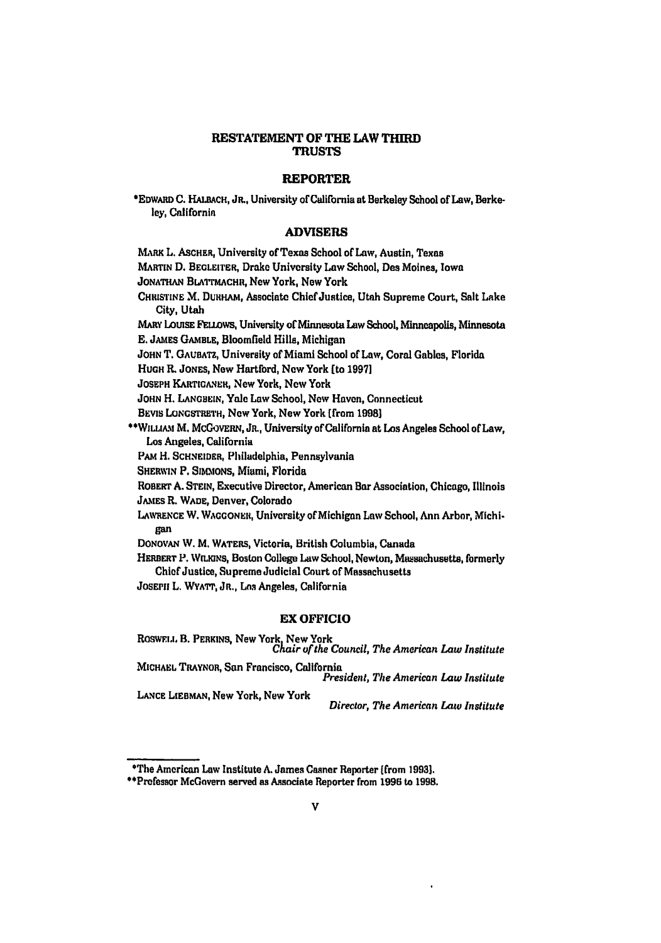## **RESTATEMENT OF THE LAW THIRD TRUSTS**

## **REPORTER**

\*EDWARD C. HALBACH, JR., University of California at Berkeley School of Law, Berkeley, California

#### **ADVISERS**

MARK L. ASCHER, University of Texas School of Law, Austin, Texas

MARTIN D. BEGLEITER, Drake University Law School, Des Moines, Iowa

JONATHAN BLATTMACHR, New York, New York

CHRISTINE M. DURHAM, Associate Chief Justice, Utah Supreme Court, Salt Lake City, Utah

MARY LOUISE FELLOWS, University of Minnesota Law School, Minneapolis, Minnesota E. JAMES GAMBLE, Bloomfield Hills, Michigan

JOHN T. GAUBATZ, University of Miami School of Law, Coral Gables, Florida

HUGH R. JONES, New Hartford, New York [to 1997]

JOSEPH KARTIGANER, New York, New York

JOHN H. LANGBEIN, Yale Law School, New Haven, Connecticut

BEVIS LONGSTRETH, New York, New York [from 1998]

\*\* WILLIAM M. MCGOVERN, JR., University of California at Los Angeles School of Law. Los Angeles, California

PAM H. SCHNEIDER, Philadelphia, Pennsylvania

SHERWIN P. SIMMONS, Miumi, Florida

ROBERT A. STEIN, Executive Director, American Bar Association, Chicago, Illinois JAMES R. WADE, Denver, Colorado

LAWRENCE W. WAGGONER, University of Michigan Law School, Ann Arbor, Michigan

DONOVAN W. M. WATERS, Victoria, British Columbia, Canada

HERBERT P. WILKINS, Boston College Law School, Newton, Massachusetts, formerly Chief Justice, Supreme Judicial Court of Massachusetts

JOSEPH L. WYATT, JR., Los Angeles, California

## **EX OFFICIO**

ROSWELL B. PERKINS, New York, New York<br>Chair of the Council, The American Law Institute MICHAEL TRAYNOR, San Francisco, California President, The American Law Institute LANCE LIEBMAN, New York, New York

Director, The American Law Institute

<sup>\*</sup>The American Law Institute A. James Casner Reporter (from 1993).

<sup>\*\*</sup>Prefessor McGovern served as Associate Reporter from 1996 to 1998.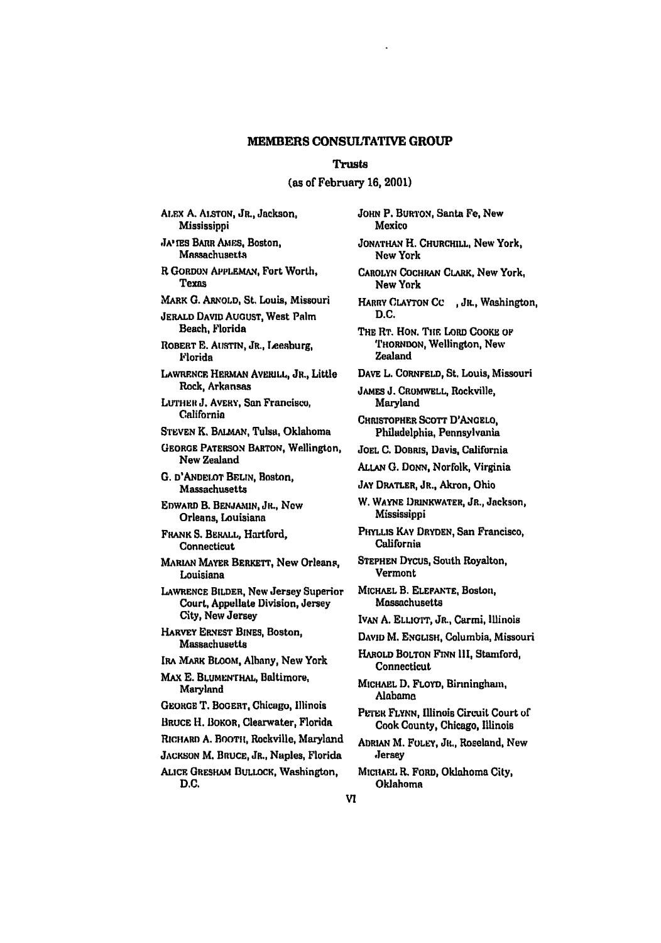#### MEMBERS **CONSULTATIVE** GROUP

#### Trusts

#### (as of February **16,** 2001)

ALEX **A. ALSTON,** JR., Jackson, **Mississippi** 

**JA'TES BARR AMES, Boston, Massachusetts** 

R **GORDON** APPLEMAN, Fort Worth, Texas

MARK **0.** ARNOLD, St. Louis, Missouri

**JERALD DAVID** AUGUST, West Palm Beach, Florida

ROBERT **E.** AUSTIN, JR., Leeaburg, Florida

LAWRENCE HERMAN AVERILL, JR., Little Rock, Arkansas

LUTHER **J. AVERY**, San Francisco, California

**STEVEN** K. BALMAN, Tulsa, Oklahoma

**GEORGE** PATERSON BARTON, Wellington, New Zealand

*G.* D'ANDELoT **BELIN,** Boston, Massachusetts

**EDWARD** B. **BENJAMIN, JR.,** Now Orleans, Louisiana

FRANK **S.** BERALL, Hartford, **Connecticut** 

MARiAN MAYER BERKETr, New Orleans, Louisiana

LAWRENCE BILDER, **New** Jersey Superior Court, Appellate Division, Jersey City, New Jersey

**HARVEY** ERNEST BINES, Boston, Massachusetts

IRA **MARK** BLOOM, Albany, New York

**MAX E. BLUMENTHAL, Baltimore,** Maryland

**GEOaGE** T. BOGERT, Chicago, Illinois

BRUCE H. BOKOR, Clearwater, Florida

**RICHARD A. BOOrT,** Rockville, Maryland

**JACKSON** M. BRUCE, JR., Naples, Florida

ALICE GRESHAM **BULLOCK,** Washington, **D.C.**

**JOHN** P. BuRTON, Santa Fe, New Mexico **JONATHAN** H. CHURCHILL, New York, **Now** York CAROLYN COCHRAN CLARK, New York, New York HARRY **CLAYTON CC ,** JR., Washington, **D.C.** THE **RT. HON.** TIE LORD COOKE OF THORNDON, Wellington, New Zealand DAVE L. CoRNFELD, St. Louis, Missouri **JAMES J.** CROMWELL, Rockville, Maryland **CHRISTOPHER** SCOTT D'ANGELO, Philadelphia, Pennsylvania **JOEL C.** DoBaus, Davis, California **ALLAN G.** Domi, Norfolk, Virginia JAY DRATLER, JR., Akron, Ohio *W,* WAYNE DRINKWATER, JR., Jackson, Mississippi PHYLLIS KAY **DRYDEN,** San Francisco, California **STEPHEN** DYcus, South Royalton, Vermont **MICHAEL** B. **ELEFANTE,** Boston, Massachusetts IVAN A. ELLIOTT, JR., Carmi, Illinois DAVID M. ENGLISH, Columbia, Missouri HAROLD BOLTON **FINN I1,** Stamford, Connecticut **MICHAEL D.** FLOYD, Birmingham, Alabama PETER FLYNN, Illinois Circuit Court of Cook County, Chicago, Illinois ADRIAN M. FOLEY, JR., Roseland, New Jersey

**MICHAEL** R. FORD, Oklahoma City, Oklahoma

VI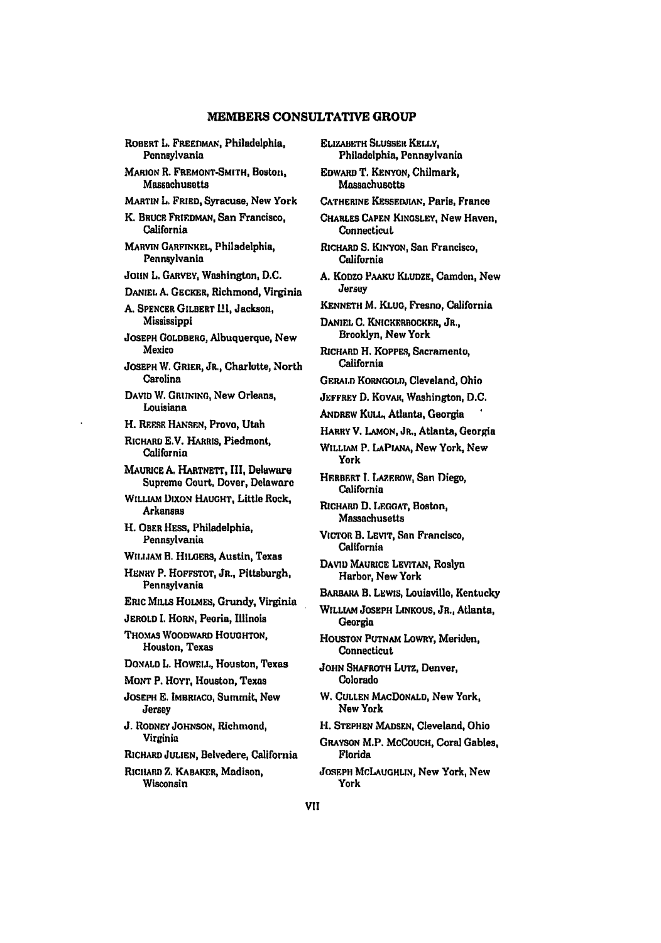## MEMBERS **CONSULTATIVE** GROUP

ROBERT L. FREEDMAN, Philadelphia, Pennsylvania **MARION R. FREMONT-SMITH,** Boston, Massachusetts MARTIN L. FRIED, Syracuse, **New** York K. BRUCE FRIEDMAN, San Francisco, California MARVIN GARFINKEL, Philadelphia, Pennsylvania *JOHN* **L.** GARVEY, Washington, **D.C.** DANIEL **A.** GECKER, Richmond, Virginia **A.** SPENCER GILBERT 111, Jackson, Mississippi **JOSEPH GOLDBERG,** Albuquerque, New Mexico **JOSEPH** W. GRIER, JR., Charlotte, North Carolina DAVID W. GRUNING, New Orleans, Louisiana H. REzsE HANSEN, Provo, Utah RICHARD **E.V.** HARRIS, Piedmont, California MAURICE **A.** HARTNETT, III, Delaware Supreme Court, Dover, Delaware WILLIAM DixoN **HAUGHT,** Little Rock, Arkansas H. OBER HESS, Philadelphia, Pennsylvania **WILIAM** B. HILGERS, Austin, Texas HENRY P. HOFFSTOT, **JR.,** Pittsburgh, Pennsylvania ERIC MILLS *HoLMEs,* Grundy, Virginia **JEROLD I.** HORN, Peoria, Illinois THOMAS WOODWARD **HOUGHTON,** Houston, Texas **DONALD** L. HowELL., Houston, Texas **MONT P. HOYT, Houston, Texas JOSEPH E. IMBRACO,** Summit, New Jersey **J.** RODNEY **JOHNSON,** Richmond, Virginia RICHARD **JULIEN,** Belvedere, California RICHARD Z. KABAKER, Madison, Wisconsin

**ELIZABETH SLUSSER KELLY,** Philadelphia, Pennsylvania

EDWARD T. KENYON, Chilmark, Massachusetts

**CATHERINE** KESSEWIAN, Paris, France

CHARLES **CAPEN KINGSLEY,** New Haven, **Connecticut** 

- RICHARD **S.** KINYON, San Francisco, California
- **A. KODzO PAAKu** KLUDZE, Camden, New Jersey
- **KENNETH** M. **KLUG,** Fresno, California

DANIEl, **C.** KNICKERBOCKFR, JR., Brooklyn, New York

RICHARD H. KOPPES, Sacramento, California

- GERALD KORNGOLD, Cleveland, Ohio
- **JEFFREY D. KOVAR, Washington, D.C.**
- ANDREW **KULL,** Atlanta, Georgia
- HARRY V. LAMON, JR., Atlanta, Georgia
- WILLIAM P. **LAPIANA,** New York, New York
- HERBERT I. LAZEROW, San Diego, California
- RICHARD **D. LEOAT,** Boston, Massachusetts
- **VICTOR** B. LEVIT, San Francisco, California
- **DAVID MAURICE** LEviTAN, Roslyn Harbor, New York
- BARARA B. LEwIs, Louisville, Kentucky

WILLIAM JOSEPH LiNKous, JR., Atlanta, Georgia

- HOUSTON **PUTNAM** LowRY, Meriden, Connecticut
- JOHN SHAFROTH LUTz, Denver, Colorado
- W. CULLEN MAcDONALD, New York, New York
- H. **STEPHEN MADSEN,** Cleveland, Ohio
- GRAYSON M.P. **MCCOUCH,** Coral Gables, Florida

JOSEPH MCLAUGHLIN, New York, New York